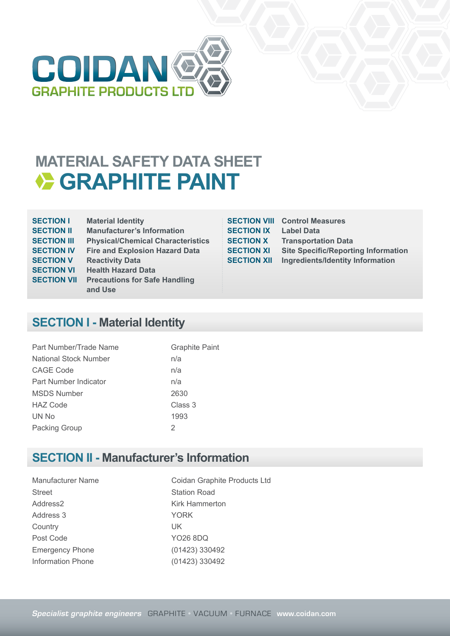

## **MATERIAL SAFETY DATA SHEET EXAMPHITE PAINT**

| <b>SECTION I</b>   | <b>Material Identity</b>                 |
|--------------------|------------------------------------------|
| <b>SECTION II</b>  | <b>Manufacturer's Information</b>        |
| <b>SECTION III</b> | <b>Physical/Chemical Characteristics</b> |
| <b>SECTION IV</b>  | <b>Fire and Explosion Hazard Data</b>    |
| <b>SECTION V</b>   | <b>Reactivity Data</b>                   |
| <b>SECTION VI</b>  | <b>Health Hazard Data</b>                |
| <b>SECTION VII</b> | <b>Precautions for Safe Handling</b>     |
|                    | and Use                                  |
|                    |                                          |

**SECTION IX Label Data**

**SECTION VIII Control Measures SECTION X Transportation Data<br>SECTION XI Site Specific/Reporti Site Specific/Reporting Information SECTION XII** Ingredients/Identity Information

#### **SECTION I - Material Identity**

| Part Number/Trade Name | <b>Graphite Paint</b> |
|------------------------|-----------------------|
| National Stock Number  | n/a                   |
| <b>CAGE Code</b>       | n/a                   |
| Part Number Indicator  | n/a                   |
| <b>MSDS Number</b>     | 2630                  |
| <b>HAZ Code</b>        | Class 3               |
| UN No                  | 1993                  |
| Packing Group          | 2                     |

#### **SECTION II - Manufacturer's Information**

Manufacturer Name Coidan Graphite Products Ltd Street Station Road Address2 Kirk Hammerton Address 3 YORK Country UK Post Code YO26 8DQ Emergency Phone (01423) 330492

Information Phone (01423) 330492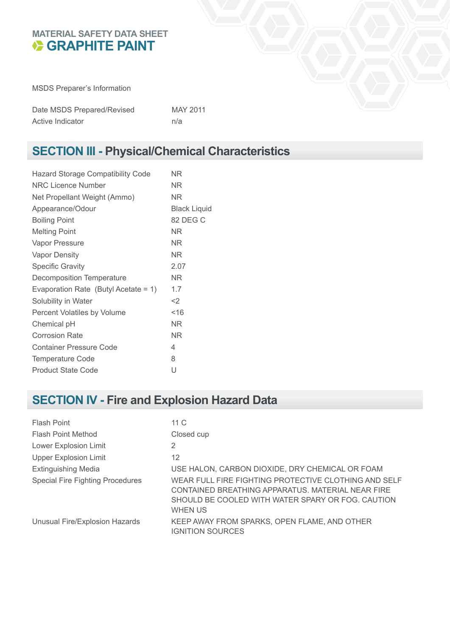#### **MATERIAL SAFETY DATA SHEET GRAPHITE PAINT**

MSDS Preparer's Information

| Date MSDS Prepared/Revised | MAY 2011 |
|----------------------------|----------|
| Active Indicator           | n/a      |

## **SECTION III - Physical/Chemical Characteristics**

| <b>Hazard Storage Compatibility Code</b> | ΝR                  |
|------------------------------------------|---------------------|
| <b>NRC Licence Number</b>                | ΝR                  |
| Net Propellant Weight (Ammo)             | ΝR                  |
| Appearance/Odour                         | <b>Black Liquid</b> |
| <b>Boiling Point</b>                     | 82 DEG C            |
| <b>Melting Point</b>                     | ΝR                  |
| <b>Vapor Pressure</b>                    | ΝR                  |
| <b>Vapor Density</b>                     | NR.                 |
| <b>Specific Gravity</b>                  | 2.07                |
| Decomposition Temperature                | ΝR                  |
| Evaporation Rate (Butyl Acetate = $1$ )  | 1.7                 |
| Solubility in Water                      | $<$ 2               |
| Percent Volatiles by Volume              | ~16                 |
| Chemical pH                              | NR.                 |
| <b>Corrosion Rate</b>                    | NR.                 |
| <b>Container Pressure Code</b>           | 4                   |
| <b>Temperature Code</b>                  | 8                   |
| <b>Product State Code</b>                | U                   |
|                                          |                     |

## **SECTION IV - Fire and Explosion Hazard Data**

| Flash Point                             | 11 C                                                                                                                                                                             |
|-----------------------------------------|----------------------------------------------------------------------------------------------------------------------------------------------------------------------------------|
| <b>Flash Point Method</b>               | Closed cup                                                                                                                                                                       |
| Lower Explosion Limit                   | 2                                                                                                                                                                                |
| <b>Upper Explosion Limit</b>            | 12                                                                                                                                                                               |
| <b>Extinguishing Media</b>              | USE HALON, CARBON DIOXIDE, DRY CHEMICAL OR FOAM                                                                                                                                  |
| <b>Special Fire Fighting Procedures</b> | WEAR FULL FIRE FIGHTING PROTECTIVE CLOTHING AND SELF<br>CONTAINED BREATHING APPARATUS. MATERIAL NEAR FIRE<br>SHOULD BE COOLED WITH WATER SPARY OR FOG. CAUTION<br><b>WHEN US</b> |
| Unusual Fire/Explosion Hazards          | KEEP AWAY FROM SPARKS, OPEN FLAME, AND OTHER<br><b>IGNITION SOURCES</b>                                                                                                          |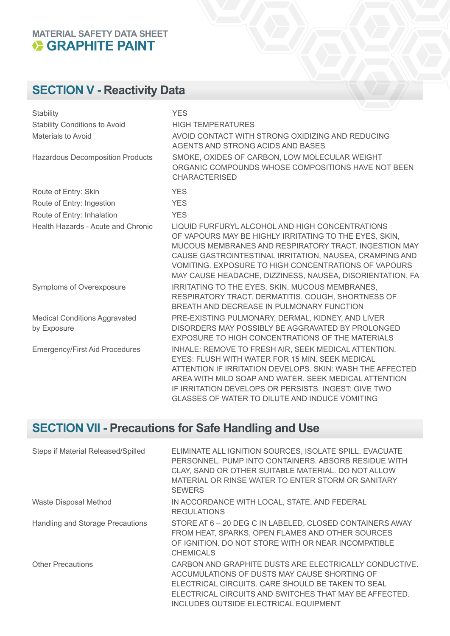# **MATERIAL SAFETY DATA SHEET**

## **SECTION V - Reactivity Data**

| Stability                                           | <b>YES</b>                                                                                                                                                                                                                                                                                                                                            |
|-----------------------------------------------------|-------------------------------------------------------------------------------------------------------------------------------------------------------------------------------------------------------------------------------------------------------------------------------------------------------------------------------------------------------|
| <b>Stability Conditions to Avoid</b>                | <b>HIGH TEMPERATURES</b>                                                                                                                                                                                                                                                                                                                              |
| <b>Materials to Avoid</b>                           | AVOID CONTACT WITH STRONG OXIDIZING AND REDUCING<br>AGENTS AND STRONG ACIDS AND BASES                                                                                                                                                                                                                                                                 |
| <b>Hazardous Decomposition Products</b>             | SMOKE, OXIDES OF CARBON, LOW MOLECULAR WEIGHT<br>ORGANIC COMPOUNDS WHOSE COMPOSITIONS HAVE NOT BEEN<br><b>CHARACTERISED</b>                                                                                                                                                                                                                           |
| Route of Entry: Skin                                | <b>YES</b>                                                                                                                                                                                                                                                                                                                                            |
| Route of Entry: Ingestion                           | <b>YES</b>                                                                                                                                                                                                                                                                                                                                            |
| Route of Entry: Inhalation                          | <b>YES</b>                                                                                                                                                                                                                                                                                                                                            |
| <b>Health Hazards - Acute and Chronic</b>           | LIQUID FURFURYL ALCOHOL AND HIGH CONCENTRATIONS<br>OF VAPOURS MAY BE HIGHLY IRRITATING TO THE EYES, SKIN,<br>MUCOUS MEMBRANES AND RESPIRATORY TRACT. INGESTION MAY<br>CAUSE GASTROINTESTINAL IRRITATION, NAUSEA, CRAMPING AND<br>VOMITING. EXPOSURE TO HIGH CONCENTRATIONS OF VAPOURS<br>MAY CAUSE HEADACHE, DIZZINESS, NAUSEA, DISORIENTATION, FA    |
| Symptoms of Overexposure                            | IRRITATING TO THE EYES, SKIN, MUCOUS MEMBRANES,<br>RESPIRATORY TRACT. DERMATITIS. COUGH, SHORTNESS OF<br>BREATH AND DECREASE IN PULMONARY FUNCTION                                                                                                                                                                                                    |
| <b>Medical Conditions Aggravated</b><br>by Exposure | PRE-EXISTING PULMONARY, DERMAL, KIDNEY, AND LIVER<br>DISORDERS MAY POSSIBLY BE AGGRAVATED BY PROLONGED<br>EXPOSURE TO HIGH CONCENTRATIONS OF THE MATERIALS                                                                                                                                                                                            |
| <b>Emergency/First Aid Procedures</b>               | INHALE: REMOVE TO FRESH AIR, SEEK MEDICAL ATTENTION.<br><b>EYES: FLUSH WITH WATER FOR 15 MIN. SEEK MEDICAL</b><br>ATTENTION IF IRRITATION DEVELOPS. SKIN: WASH THE AFFECTED<br>AREA WITH MILD SOAP AND WATER. SEEK MEDICAL ATTENTION<br>IF IRRITATION DEVELOPS OR PERSISTS. INGEST: GIVE TWO<br><b>GLASSES OF WATER TO DILUTE AND INDUCE VOMITING</b> |

## **SECTION VII - Precautions for Safe Handling and Use**

| Steps if Material Released/Spilled | ELIMINATE ALL IGNITION SOURCES, ISOLATE SPILL, EVACUATE<br>PERSONNEL, PUMP INTO CONTAINERS, ABSORB RESIDUE WITH<br>CLAY, SAND OR OTHER SUITABLE MATERIAL. DO NOT ALLOW<br>MATERIAL OR RINSE WATER TO ENTER STORM OR SANITARY<br><b>SEWERS</b>                  |
|------------------------------------|----------------------------------------------------------------------------------------------------------------------------------------------------------------------------------------------------------------------------------------------------------------|
| Waste Disposal Method              | IN ACCORDANCE WITH LOCAL, STATE, AND FEDERAL<br><b>REGULATIONS</b>                                                                                                                                                                                             |
| Handling and Storage Precautions   | STORE AT 6 - 20 DEG C IN LABELED, CLOSED CONTAINERS AWAY<br>FROM HEAT, SPARKS, OPEN FLAMES AND OTHER SOURCES<br>OF IGNITION, DO NOT STORE WITH OR NEAR INCOMPATIBLE<br><b>CHEMICALS</b>                                                                        |
| <b>Other Precautions</b>           | CARBON AND GRAPHITE DUSTS ARE ELECTRICALLY CONDUCTIVE.<br>ACCUMULATIONS OF DUSTS MAY CAUSE SHORTING OF<br>ELECTRICAL CIRCUITS. CARE SHOULD BE TAKEN TO SEAL<br>ELECTRICAL CIRCUITS AND SWITCHES THAT MAY BE AFFECTED.<br>INCLUDES OUTSIDE ELECTRICAL EQUIPMENT |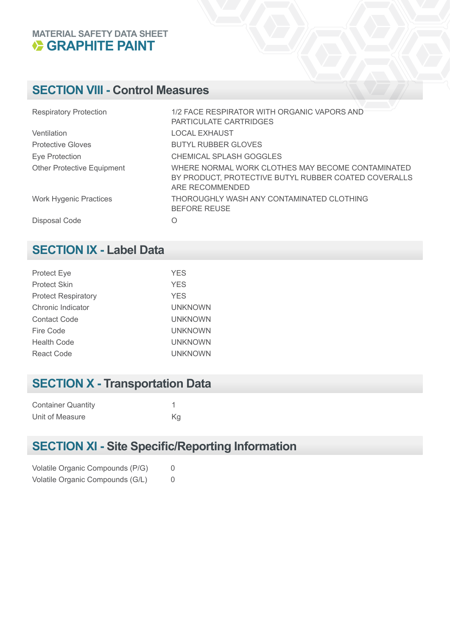#### **MATERIAL SAFETY DATA SHEET GRAPHITE PAINT**

### **SECTION VIII - Control Measures**

| <b>Respiratory Protection</b>     | 1/2 FACE RESPIRATOR WITH ORGANIC VAPORS AND<br>PARTICULATE CARTRIDGES                                                        |
|-----------------------------------|------------------------------------------------------------------------------------------------------------------------------|
| Ventilation                       | <b>LOCAL EXHAUST</b>                                                                                                         |
| <b>Protective Gloves</b>          | <b>BUTYL RUBBER GLOVES</b>                                                                                                   |
| Eye Protection                    | CHEMICAL SPLASH GOGGLES                                                                                                      |
| <b>Other Protective Equipment</b> | WHERE NORMAL WORK CLOTHES MAY BECOME CONTAMINATED<br>BY PRODUCT, PROTECTIVE BUTYL RUBBER COATED COVERALLS<br>ARE RECOMMENDED |
| <b>Work Hygenic Practices</b>     | THOROUGHLY WASH ANY CONTAMINATED CLOTHING<br><b>BEFORE REUSE</b>                                                             |
| Disposal Code                     | O                                                                                                                            |

#### **SECTION IX - Label Data**

| <b>Protect Eye</b>         | <b>YES</b>     |
|----------------------------|----------------|
| <b>Protect Skin</b>        | <b>YES</b>     |
| <b>Protect Respiratory</b> | <b>YES</b>     |
| Chronic Indicator          | <b>UNKNOWN</b> |
| <b>Contact Code</b>        | <b>UNKNOWN</b> |
| Fire Code                  | <b>UNKNOWN</b> |
| <b>Health Code</b>         | <b>UNKNOWN</b> |
| React Code                 | <b>UNKNOWN</b> |

## **SECTION X - Transportation Data**

| <b>Container Quantity</b> |    |
|---------------------------|----|
| Unit of Measure           | Κa |

## **SECTION XI - Site Specific/Reporting Information**

|  | Volatile Organic Compounds (P/G) |  |
|--|----------------------------------|--|
|  | Volatile Organic Compounds (G/L) |  |